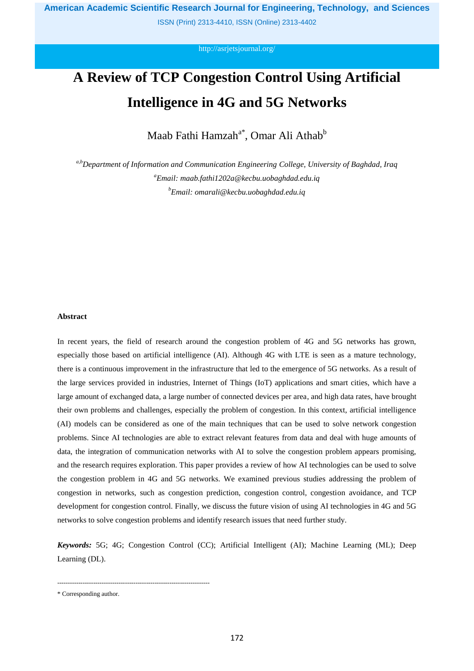ISSN (Print) 2313-4410, ISSN (Online) 2313-4402

<http://asrjetsjournal.org/>

# **A Review of TCP Congestion Control Using Artificial Intelligence in 4G and 5G Networks**

Maab Fathi Hamzah<sup>a\*</sup>, Omar Ali Athab<sup>b</sup>

*a,bDepartment of Information and Communication Engineering College, University of Baghdad, Iraq <sup>a</sup>Email: maab.fathi1202a@kecbu.uobaghdad.edu.iq <sup>b</sup>Email: omarali@kecbu.uobaghdad.edu.iq*

# **Abstract**

In recent years, the field of research around the congestion problem of 4G and 5G networks has grown, especially those based on artificial intelligence (AI). Although 4G with LTE is seen as a mature technology, there is a continuous improvement in the infrastructure that led to the emergence of 5G networks. As a result of the large services provided in industries, Internet of Things (IoT) applications and smart cities, which have a large amount of exchanged data, a large number of connected devices per area, and high data rates, have brought their own problems and challenges, especially the problem of congestion. In this context, artificial intelligence (AI) models can be considered as one of the main techniques that can be used to solve network congestion problems. Since AI technologies are able to extract relevant features from data and deal with huge amounts of data, the integration of communication networks with AI to solve the congestion problem appears promising, and the research requires exploration. This paper provides a review of how AI technologies can be used to solve the congestion problem in 4G and 5G networks. We examined previous studies addressing the problem of congestion in networks, such as congestion prediction, congestion control, congestion avoidance, and TCP development for congestion control. Finally, we discuss the future vision of using AI technologies in 4G and 5G networks to solve congestion problems and identify research issues that need further study.

*Keywords:* 5G; 4G; Congestion Control (CC); Artificial Intelligent (AI); Machine Learning (ML); Deep Learning (DL).

------------------------------------------------------------------------

<sup>\*</sup> Corresponding author.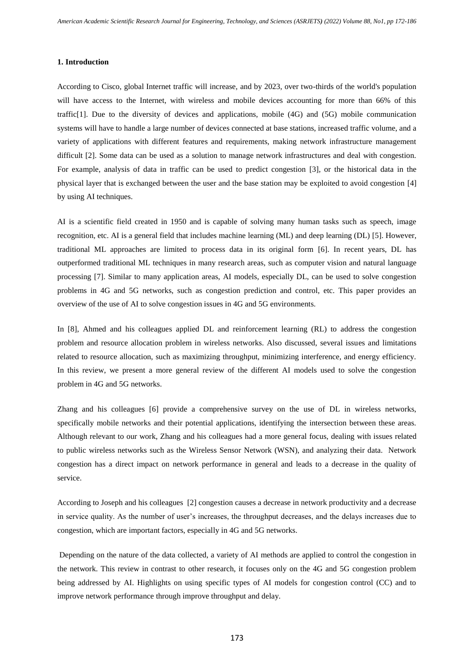#### **1. Introduction**

According to Cisco, global Internet traffic will increase, and by 2023, over two-thirds of the world's population will have access to the Internet, with wireless and mobile devices accounting for more than 66% of this traffic[1]. Due to the diversity of devices and applications, mobile (4G) and (5G) mobile communication systems will have to handle a large number of devices connected at base stations, increased traffic volume, and a variety of applications with different features and requirements, making network infrastructure management difficult [2]. Some data can be used as a solution to manage network infrastructures and deal with congestion. For example, analysis of data in traffic can be used to predict congestion [3], or the historical data in the physical layer that is exchanged between the user and the base station may be exploited to avoid congestion [4] by using AI techniques.

AI is a scientific field created in 1950 and is capable of solving many human tasks such as speech, image recognition, etc. AI is a general field that includes machine learning (ML) and deep learning (DL) [5]. However, traditional ML approaches are limited to process data in its original form [6]. In recent years, DL has outperformed traditional ML techniques in many research areas, such as computer vision and natural language processing [7]. Similar to many application areas, AI models, especially DL, can be used to solve congestion problems in 4G and 5G networks, such as congestion prediction and control, etc. This paper provides an overview of the use of AI to solve congestion issues in 4G and 5G environments.

In [8], Ahmed and his colleagues applied DL and reinforcement learning (RL) to address the congestion problem and resource allocation problem in wireless networks. Also discussed, several issues and limitations related to resource allocation, such as maximizing throughput, minimizing interference, and energy efficiency. In this review, we present a more general review of the different AI models used to solve the congestion problem in 4G and 5G networks.

Zhang and his colleagues [6] provide a comprehensive survey on the use of DL in wireless networks, specifically mobile networks and their potential applications, identifying the intersection between these areas. Although relevant to our work, Zhang and his colleagues had a more general focus, dealing with issues related to public wireless networks such as the Wireless Sensor Network (WSN), and analyzing their data. Network congestion has a direct impact on network performance in general and leads to a decrease in the quality of service.

According to Joseph and his colleagues [2] congestion causes a decrease in network productivity and a decrease in service quality. As the number of user's increases, the throughput decreases, and the delays increases due to congestion, which are important factors, especially in 4G and 5G networks.

Depending on the nature of the data collected, a variety of AI methods are applied to control the congestion in the network. This review in contrast to other research, it focuses only on the 4G and 5G congestion problem being addressed by AI. Highlights on using specific types of AI models for congestion control (CC) and to improve network performance through improve throughput and delay.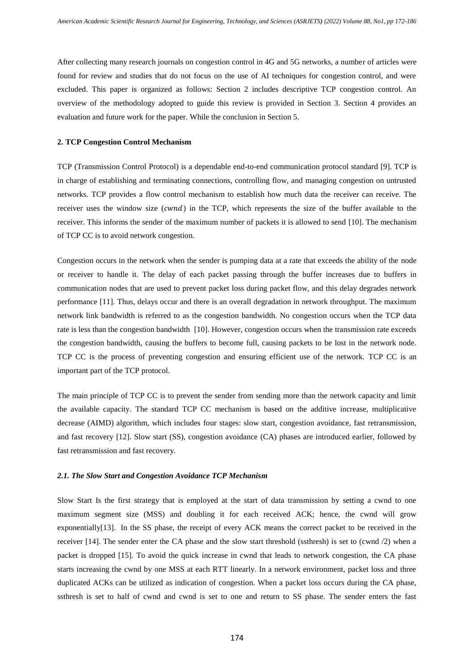After collecting many research journals on congestion control in 4G and 5G networks, a number of articles were found for review and studies that do not focus on the use of AI techniques for congestion control, and were excluded. This paper is organized as follows: Section 2 includes descriptive TCP congestion control. An overview of the methodology adopted to guide this review is provided in Section 3. Section 4 provides an evaluation and future work for the paper. While the conclusion in Section 5.

#### **2. TCP Congestion Control Mechanism**

TCP (Transmission Control Protocol) is a dependable end-to-end communication protocol standard [9]. TCP is in charge of establishing and terminating connections, controlling flow, and managing congestion on untrusted networks. TCP provides a flow control mechanism to establish how much data the receiver can receive. The receiver uses the window size (cwnd) in the TCP, which represents the size of the buffer available to the receiver. This informs the sender of the maximum number of packets it is allowed to send [10]. The mechanism of TCP CC is to avoid network congestion.

Congestion occurs in the network when the sender is pumping data at a rate that exceeds the ability of the node or receiver to handle it. The delay of each packet passing through the buffer increases due to buffers in communication nodes that are used to prevent packet loss during packet flow, and this delay degrades network performance [11]. Thus, delays occur and there is an overall degradation in network throughput. The maximum network link bandwidth is referred to as the congestion bandwidth. No congestion occurs when the TCP data rate is less than the congestion bandwidth [10]. However, congestion occurs when the transmission rate exceeds the congestion bandwidth, causing the buffers to become full, causing packets to be lost in the network node. TCP CC is the process of preventing congestion and ensuring efficient use of the network. TCP CC is an important part of the TCP protocol.

The main principle of TCP CC is to prevent the sender from sending more than the network capacity and limit the available capacity. The standard TCP CC mechanism is based on the additive increase, multiplicative decrease (AIMD) algorithm, which includes four stages: slow start, congestion avoidance, fast retransmission, and fast recovery [12]. Slow start (SS), congestion avoidance (CA) phases are introduced earlier, followed by fast retransmission and fast recovery.

#### *2.1. The Slow Start and Congestion Avoidance TCP Mechanism*

Slow Start Is the first strategy that is employed at the start of data transmission by setting a cwnd to one maximum segment size (MSS) and doubling it for each received ACK; hence, the cwnd will grow exponentially[13]. In the SS phase, the receipt of every ACK means the correct packet to be received in the receiver [14]. The sender enter the CA phase and the slow start threshold (ssthresh) is set to (cwnd /2) when a packet is dropped [15]. To avoid the quick increase in cwnd that leads to network congestion, the CA phase starts increasing the cwnd by one MSS at each RTT linearly. In a network environment, packet loss and three duplicated ACKs can be utilized as indication of congestion. When a packet loss occurs during the CA phase, ssthresh is set to half of cwnd and cwnd is set to one and return to SS phase. The sender enters the fast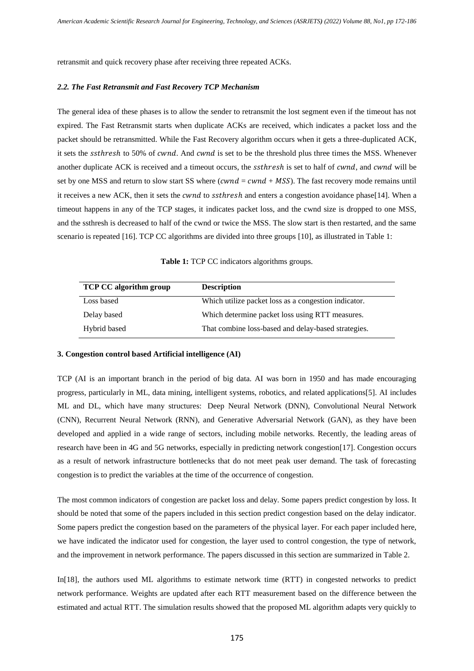retransmit and quick recovery phase after receiving three repeated ACKs.

## *2.2. The Fast Retransmit and Fast Recovery TCP Mechanism*

The general idea of these phases is to allow the sender to retransmit the lost segment even if the timeout has not expired. The Fast Retransmit starts when duplicate ACKs are received, which indicates a packet loss and the packet should be retransmitted. While the Fast Recovery algorithm occurs when it gets a three-duplicated ACK, it sets the ssthresh to 50% of cwnd. And cwnd is set to be the threshold plus three times the MSS. Whenever another duplicate ACK is received and a timeout occurs, the *ssthresh* is set to half of *cwnd*, and *cwnd* will be set by one MSS and return to slow start SS where ( $cwnd = cwnd + MSS$ ). The fast recovery mode remains until it receives a new ACK, then it sets the *cwnd* to *ssthresh* and enters a congestion avoidance phase[14]. When a timeout happens in any of the TCP stages, it indicates packet loss, and the cwnd size is dropped to one MSS, and the ssthresh is decreased to half of the cwnd or twice the MSS. The slow start is then restarted, and the same scenario is repeated [16]. TCP CC algorithms are divided into three groups [10], as illustrated in Table 1:

**Table 1:** TCP CC indicators algorithms groups.

| <b>TCP CC algorithm group</b> | <b>Description</b>                                   |
|-------------------------------|------------------------------------------------------|
| Loss based                    | Which utilize packet loss as a congestion indicator. |
| Delay based                   | Which determine packet loss using RTT measures.      |
| Hybrid based                  | That combine loss-based and delay-based strategies.  |

## **3. Congestion control based Artificial intelligence (AI)**

TCP (AI is an important branch in the period of big data. AI was born in 1950 and has made encouraging progress, particularly in ML, data mining, intelligent systems, robotics, and related applications[5]. AI includes ML and DL, which have many structures: Deep Neural Network (DNN), Convolutional Neural Network (CNN), Recurrent Neural Network (RNN), and Generative Adversarial Network (GAN), as they have been developed and applied in a wide range of sectors, including mobile networks. Recently, the leading areas of research have been in 4G and 5G networks, especially in predicting network congestion[17]. Congestion occurs as a result of network infrastructure bottlenecks that do not meet peak user demand. The task of forecasting congestion is to predict the variables at the time of the occurrence of congestion.

The most common indicators of congestion are packet loss and delay. Some papers predict congestion by loss. It should be noted that some of the papers included in this section predict congestion based on the delay indicator. Some papers predict the congestion based on the parameters of the physical layer. For each paper included here, we have indicated the indicator used for congestion, the layer used to control congestion, the type of network, and the improvement in network performance. The papers discussed in this section are summarized in Table 2.

In[18], the authors used ML algorithms to estimate network time (RTT) in congested networks to predict network performance. Weights are updated after each RTT measurement based on the difference between the estimated and actual RTT. The simulation results showed that the proposed ML algorithm adapts very quickly to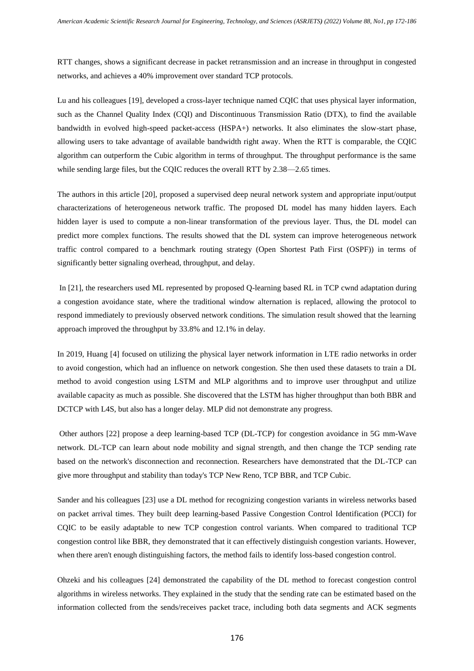RTT changes, shows a significant decrease in packet retransmission and an increase in throughput in congested networks, and achieves a 40% improvement over standard TCP protocols.

Lu and his colleagues [19], developed a cross-layer technique named CQIC that uses physical layer information, such as the Channel Quality Index (CQI) and Discontinuous Transmission Ratio (DTX), to find the available bandwidth in evolved high-speed packet-access (HSPA+) networks. It also eliminates the slow-start phase, allowing users to take advantage of available bandwidth right away. When the RTT is comparable, the CQIC algorithm can outperform the Cubic algorithm in terms of throughput. The throughput performance is the same while sending large files, but the CQIC reduces the overall RTT by 2.38—2.65 times.

The authors in this article [20], proposed a supervised deep neural network system and appropriate input/output characterizations of heterogeneous network traffic. The proposed DL model has many hidden layers. Each hidden layer is used to compute a non-linear transformation of the previous layer. Thus, the DL model can predict more complex functions. The results showed that the DL system can improve heterogeneous network traffic control compared to a benchmark routing strategy (Open Shortest Path First (OSPF)) in terms of significantly better signaling overhead, throughput, and delay.

In [21], the researchers used ML represented by proposed Q-learning based RL in TCP cwnd adaptation during a congestion avoidance state, where the traditional window alternation is replaced, allowing the protocol to respond immediately to previously observed network conditions. The simulation result showed that the learning approach improved the throughput by 33.8% and 12.1% in delay.

In 2019, Huang [4] focused on utilizing the physical layer network information in LTE radio networks in order to avoid congestion, which had an influence on network congestion. She then used these datasets to train a DL method to avoid congestion using LSTM and MLP algorithms and to improve user throughput and utilize available capacity as much as possible. She discovered that the LSTM has higher throughput than both BBR and DCTCP with L4S, but also has a longer delay. MLP did not demonstrate any progress.

Other authors [22] propose a deep learning-based TCP (DL-TCP) for congestion avoidance in 5G mm-Wave network. DL-TCP can learn about node mobility and signal strength, and then change the TCP sending rate based on the network's disconnection and reconnection. Researchers have demonstrated that the DL-TCP can give more throughput and stability than today's TCP New Reno, TCP BBR, and TCP Cubic.

Sander and his colleagues [23] use a DL method for recognizing congestion variants in wireless networks based on packet arrival times. They built deep learning-based Passive Congestion Control Identification (PCCI) for CQIC to be easily adaptable to new TCP congestion control variants. When compared to traditional TCP congestion control like BBR, they demonstrated that it can effectively distinguish congestion variants. However, when there aren't enough distinguishing factors, the method fails to identify loss-based congestion control.

Ohzeki and his colleagues [24] demonstrated the capability of the DL method to forecast congestion control algorithms in wireless networks. They explained in the study that the sending rate can be estimated based on the information collected from the sends/receives packet trace, including both data segments and ACK segments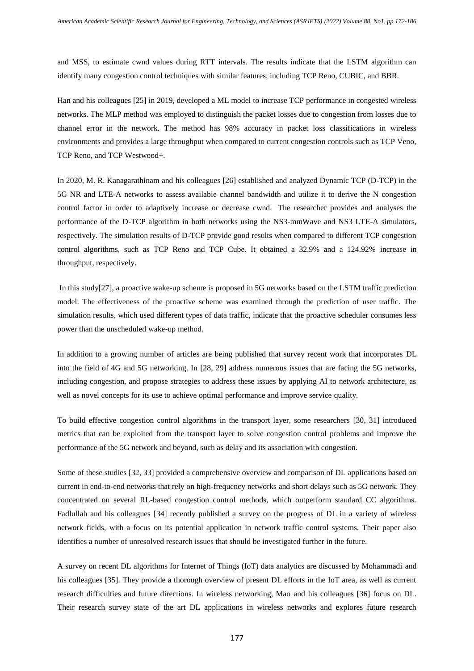and MSS, to estimate cwnd values during RTT intervals. The results indicate that the LSTM algorithm can identify many congestion control techniques with similar features, including TCP Reno, CUBIC, and BBR.

Han and his colleagues [25] in 2019, developed a ML model to increase TCP performance in congested wireless networks. The MLP method was employed to distinguish the packet losses due to congestion from losses due to channel error in the network. The method has 98% accuracy in packet loss classifications in wireless environments and provides a large throughput when compared to current congestion controls such as TCP Veno, TCP Reno, and TCP Westwood+.

In 2020, M. R. Kanagarathinam and his colleagues [26] established and analyzed Dynamic TCP (D-TCP) in the 5G NR and LTE-A networks to assess available channel bandwidth and utilize it to derive the N congestion control factor in order to adaptively increase or decrease cwnd. The researcher provides and analyses the performance of the D-TCP algorithm in both networks using the NS3-mmWave and NS3 LTE-A simulators, respectively. The simulation results of D-TCP provide good results when compared to different TCP congestion control algorithms, such as TCP Reno and TCP Cube. It obtained a 32.9% and a 124.92% increase in throughput, respectively.

In this study[27], a proactive wake-up scheme is proposed in 5G networks based on the LSTM traffic prediction model. The effectiveness of the proactive scheme was examined through the prediction of user traffic. The simulation results, which used different types of data traffic, indicate that the proactive scheduler consumes less power than the unscheduled wake-up method.

In addition to a growing number of articles are being published that survey recent work that incorporates DL into the field of 4G and 5G networking. In [28, 29] address numerous issues that are facing the 5G networks, including congestion, and propose strategies to address these issues by applying AI to network architecture, as well as novel concepts for its use to achieve optimal performance and improve service quality.

To build effective congestion control algorithms in the transport layer, some researchers [30, 31] introduced metrics that can be exploited from the transport layer to solve congestion control problems and improve the performance of the 5G network and beyond, such as delay and its association with congestion.

Some of these studies [32, 33] provided a comprehensive overview and comparison of DL applications based on current in end-to-end networks that rely on high-frequency networks and short delays such as 5G network. They concentrated on several RL-based congestion control methods, which outperform standard CC algorithms. Fadlullah and his colleagues [34] recently published a survey on the progress of DL in a variety of wireless network fields, with a focus on its potential application in network traffic control systems. Their paper also identifies a number of unresolved research issues that should be investigated further in the future.

A survey on recent DL algorithms for Internet of Things (IoT) data analytics are discussed by Mohammadi and his colleagues [35]. They provide a thorough overview of present DL efforts in the IoT area, as well as current research difficulties and future directions. In wireless networking, Mao and his colleagues [36] focus on DL. Their research survey state of the art DL applications in wireless networks and explores future research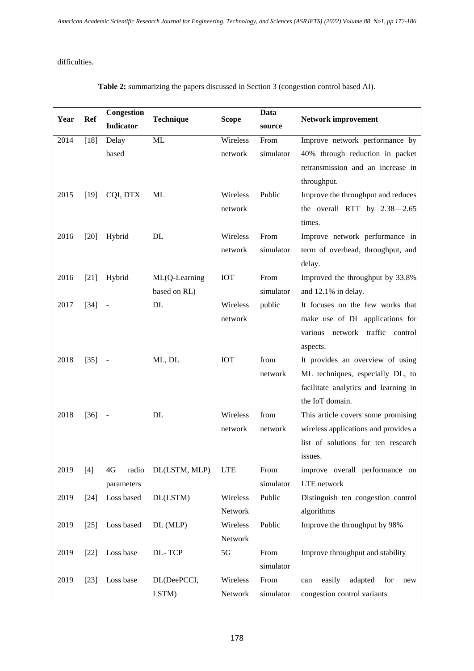difficulties.

| Year | Ref    | Congestion       | <b>Technique</b> | <b>Scope</b> | <b>Data</b> | <b>Network improvement</b>             |
|------|--------|------------------|------------------|--------------|-------------|----------------------------------------|
|      |        | <b>Indicator</b> |                  |              | source      |                                        |
| 2014 | $[18]$ | Delay            | ML               | Wireless     | From        | Improve network performance by         |
|      |        | based            |                  | network      | simulator   | 40% through reduction in packet        |
|      |        |                  |                  |              |             | retransmission and an increase in      |
|      |        |                  |                  |              |             | throughput.                            |
| 2015 | $[19]$ | CQI, DTX         | ML               | Wireless     | Public      | Improve the throughput and reduces     |
|      |        |                  |                  | network      |             | the overall RTT by 2.38-2.65           |
|      |        |                  |                  |              |             | times.                                 |
| 2016 | $[20]$ | Hybrid           | DL               | Wireless     | From        | Improve network performance in         |
|      |        |                  |                  | network      | simulator   | term of overhead, throughput, and      |
|      |        |                  |                  |              |             | delay.                                 |
| 2016 | $[21]$ | Hybrid           | ML(Q-Learning    | IOT          | From        | Improved the throughput by 33.8%       |
|      |        |                  | based on RL)     |              | simulator   | and 12.1% in delay.                    |
| 2017 | $[34]$ |                  | DL               | Wireless     | public      | It focuses on the few works that       |
|      |        |                  |                  | network      |             | make use of DL applications for        |
|      |        |                  |                  |              |             | network traffic<br>various<br>control  |
|      |        |                  |                  |              |             | aspects.                               |
| 2018 | $[35]$ |                  | ML, DL           | <b>IOT</b>   | from        | It provides an overview of using       |
|      |        |                  |                  |              | network     | ML techniques, especially DL, to       |
|      |        |                  |                  |              |             | facilitate analytics and learning in   |
|      |        |                  |                  |              |             | the IoT domain.                        |
| 2018 | $[36]$ | $\blacksquare$   | DL               | Wireless     | from        | This article covers some promising     |
|      |        |                  |                  | network      | network     | wireless applications and provides a   |
|      |        |                  |                  |              |             | list of solutions for ten research     |
|      |        |                  |                  |              |             | issues.                                |
| 2019 | $[4]$  | 4G<br>radio      | DL(LSTM, MLP)    | <b>LTE</b>   | From        | improve overall performance on         |
|      |        | parameters       |                  |              | simulator   | LTE network                            |
| 2019 | $[24]$ | Loss based       | DL(LSTM)         | Wireless     | Public      | Distinguish ten congestion control     |
|      |        |                  |                  | Network      |             | algorithms                             |
| 2019 | $[25]$ | Loss based       | DL (MLP)         | Wireless     | Public      | Improve the throughput by 98%          |
|      |        |                  |                  | Network      |             |                                        |
| 2019 | $[22]$ | Loss base        | DL-TCP           | 5G           | From        | Improve throughput and stability       |
|      |        |                  |                  |              | simulator   |                                        |
| 2019 | $[23]$ | Loss base        | DL(DeePCCI,      | Wireless     | From        | adapted<br>easily<br>for<br>can<br>new |
|      |        |                  | LSTM)            | Network      | simulator   | congestion control variants            |

**Table 2:** summarizing the papers discussed in Section 3 (congestion control based AI).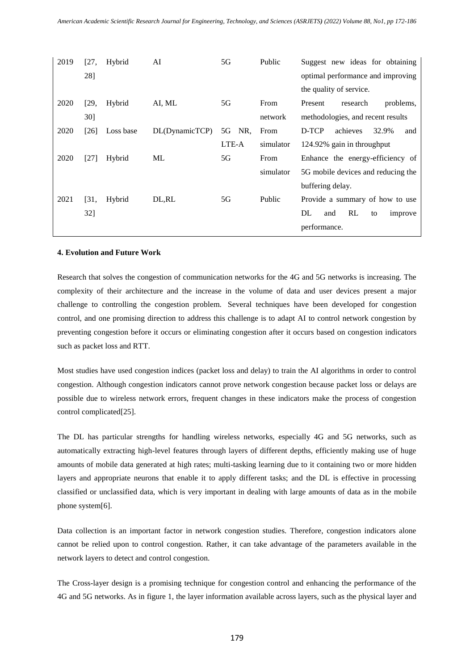| 2019 | [27,   | Hybrid    | AI             | 5G        | Public    | Suggest new ideas for obtaining    |
|------|--------|-----------|----------------|-----------|-----------|------------------------------------|
|      | 28]    |           |                |           |           | optimal performance and improving  |
|      |        |           |                |           |           | the quality of service.            |
| 2020 | [29,   | Hybrid    | AI, ML         | 5G        | From      | Present<br>research<br>problems,   |
|      | $30$ ] |           |                |           | network   | methodologies, and recent results  |
| 2020 | $[26]$ | Loss base | DL(DynamicTCP) | 5G<br>NR. | From      | D-TCP<br>32.9%<br>achieves<br>and  |
|      |        |           |                | LTE-A     | simulator | 124.92% gain in throughput         |
| 2020 | $[27]$ | Hybrid    | МL             | 5G        | From      | Enhance the energy-efficiency of   |
|      |        |           |                |           | simulator | 5G mobile devices and reducing the |
|      |        |           |                |           |           | buffering delay.                   |
| 2021 | [31,   | Hybrid    | DL,RL          | 5G        | Public    | Provide a summary of how to use    |
|      | 32]    |           |                |           |           | RL<br>DL<br>and<br>improve<br>to   |
|      |        |           |                |           |           | performance.                       |
|      |        |           |                |           |           |                                    |

## **4. Evolution and Future Work**

Research that solves the congestion of communication networks for the 4G and 5G networks is increasing. The complexity of their architecture and the increase in the volume of data and user devices present a major challenge to controlling the congestion problem. Several techniques have been developed for congestion control, and one promising direction to address this challenge is to adapt AI to control network congestion by preventing congestion before it occurs or eliminating congestion after it occurs based on congestion indicators such as packet loss and RTT.

Most studies have used congestion indices (packet loss and delay) to train the AI algorithms in order to control congestion. Although congestion indicators cannot prove network congestion because packet loss or delays are possible due to wireless network errors, frequent changes in these indicators make the process of congestion control complicated[25].

The DL has particular strengths for handling wireless networks, especially 4G and 5G networks, such as automatically extracting high-level features through layers of different depths, efficiently making use of huge amounts of mobile data generated at high rates; multi-tasking learning due to it containing two or more hidden layers and appropriate neurons that enable it to apply different tasks; and the DL is effective in processing classified or unclassified data, which is very important in dealing with large amounts of data as in the mobile phone system[6].

Data collection is an important factor in network congestion studies. Therefore, congestion indicators alone cannot be relied upon to control congestion. Rather, it can take advantage of the parameters available in the network layers to detect and control congestion.

The Cross-layer design is a promising technique for congestion control and enhancing the performance of the 4G and 5G networks. As in figure 1, the layer information available across layers, such as the physical layer and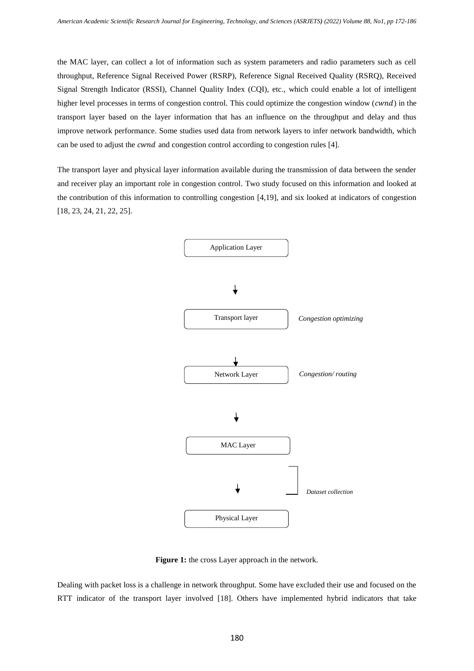the MAC layer, can collect a lot of information such as system parameters and radio parameters such as cell throughput, Reference Signal Received Power (RSRP), Reference Signal Received Quality (RSRQ), Received Signal Strength Indicator (RSSI), Channel Quality Index (CQI), etc., which could enable a lot of intelligent higher level processes in terms of congestion control. This could optimize the congestion window ( $\,$ a) in the transport layer based on the layer information that has an influence on the throughput and delay and thus improve network performance. Some studies used data from network layers to infer network bandwidth, which can be used to adjust the *cwnd* and congestion control according to congestion rules [4].

The transport layer and physical layer information available during the transmission of data between the sender and receiver play an important role in congestion control. Two study focused on this information and looked at the contribution of this information to controlling congestion [4,19], and six looked at indicators of congestion [18, 23, 24, 21, 22, 25].



**Figure 1:** the cross Layer approach in the network.

Dealing with packet loss is a challenge in network throughput. Some have excluded their use and focused on the RTT indicator of the transport layer involved [18]. Others have implemented hybrid indicators that take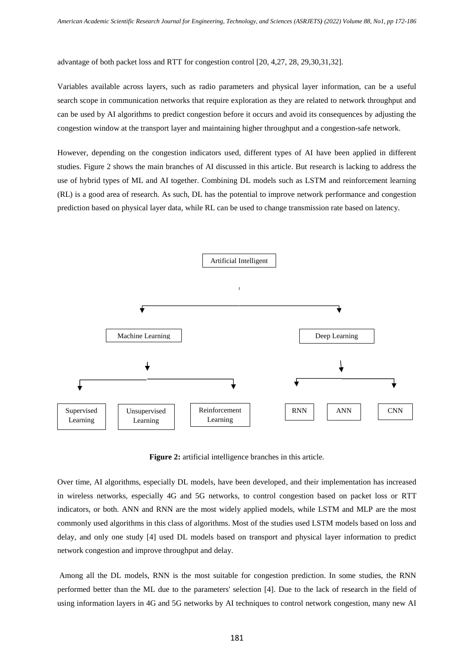advantage of both packet loss and RTT for congestion control [20, 4,27, 28, 29,30,31,32].

Variables available across layers, such as radio parameters and physical layer information, can be a useful search scope in communication networks that require exploration as they are related to network throughput and can be used by AI algorithms to predict congestion before it occurs and avoid its consequences by adjusting the congestion window at the transport layer and maintaining higher throughput and a congestion-safe network.

However, depending on the congestion indicators used, different types of AI have been applied in different studies. Figure 2 shows the main branches of AI discussed in this article. But research is lacking to address the use of hybrid types of ML and AI together. Combining DL models such as LSTM and reinforcement learning (RL) is a good area of research. As such, DL has the potential to improve network performance and congestion prediction based on physical layer data, while RL can be used to change transmission rate based on latency.



**Figure 2:** artificial intelligence branches in this article.

Over time, AI algorithms, especially DL models, have been developed, and their implementation has increased in wireless networks, especially 4G and 5G networks, to control congestion based on packet loss or RTT indicators, or both. ANN and RNN are the most widely applied models, while LSTM and MLP are the most commonly used algorithms in this class of algorithms. Most of the studies used LSTM models based on loss and delay, and only one study [4] used DL models based on transport and physical layer information to predict network congestion and improve throughput and delay.

Among all the DL models, RNN is the most suitable for congestion prediction. In some studies, the RNN performed better than the ML due to the parameters' selection [4]. Due to the lack of research in the field of using information layers in 4G and 5G networks by AI techniques to control network congestion, many new AI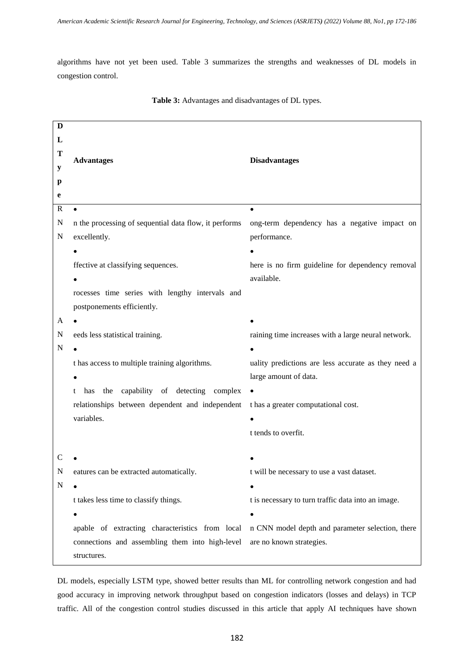algorithms have not yet been used. Table 3 summarizes the strengths and weaknesses of DL models in congestion control.

| D           |                                                                                                  |                                                     |  |
|-------------|--------------------------------------------------------------------------------------------------|-----------------------------------------------------|--|
| L           |                                                                                                  |                                                     |  |
| T           | <b>Advantages</b>                                                                                | <b>Disadvantages</b>                                |  |
| $\mathbf y$ |                                                                                                  |                                                     |  |
| p           |                                                                                                  |                                                     |  |
| e           |                                                                                                  |                                                     |  |
| $\mathbf R$ | $\bullet$                                                                                        | $\bullet$                                           |  |
| Ν           | n the processing of sequential data flow, it performs                                            | ong-term dependency has a negative impact on        |  |
| N           | excellently.                                                                                     | performance.                                        |  |
|             |                                                                                                  |                                                     |  |
|             | ffective at classifying sequences.                                                               | here is no firm guideline for dependency removal    |  |
|             |                                                                                                  | available.                                          |  |
|             | rocesses time series with lengthy intervals and                                                  |                                                     |  |
|             | postponements efficiently.                                                                       |                                                     |  |
| A           |                                                                                                  |                                                     |  |
| N           | eeds less statistical training.                                                                  | raining time increases with a large neural network. |  |
| N           |                                                                                                  |                                                     |  |
|             | t has access to multiple training algorithms.                                                    | uality predictions are less accurate as they need a |  |
|             |                                                                                                  | large amount of data.                               |  |
|             | the capability of detecting complex .<br>t has                                                   |                                                     |  |
|             | relationships between dependent and independent thas a greater computational cost.               |                                                     |  |
|             | variables.                                                                                       |                                                     |  |
|             |                                                                                                  | t tends to overfit.                                 |  |
|             |                                                                                                  |                                                     |  |
| С           |                                                                                                  |                                                     |  |
| N           | eatures can be extracted automatically.                                                          | t will be necessary to use a vast dataset.          |  |
| ${\bf N}$   |                                                                                                  |                                                     |  |
|             | t takes less time to classify things.                                                            | t is necessary to turn traffic data into an image.  |  |
|             |                                                                                                  |                                                     |  |
|             | apable of extracting characteristics from local n CNN model depth and parameter selection, there |                                                     |  |
|             | connections and assembling them into high-level                                                  | are no known strategies.                            |  |
|             | structures.                                                                                      |                                                     |  |

DL models, especially LSTM type, showed better results than ML for controlling network congestion and had good accuracy in improving network throughput based on congestion indicators (losses and delays) in TCP traffic. All of the congestion control studies discussed in this article that apply AI techniques have shown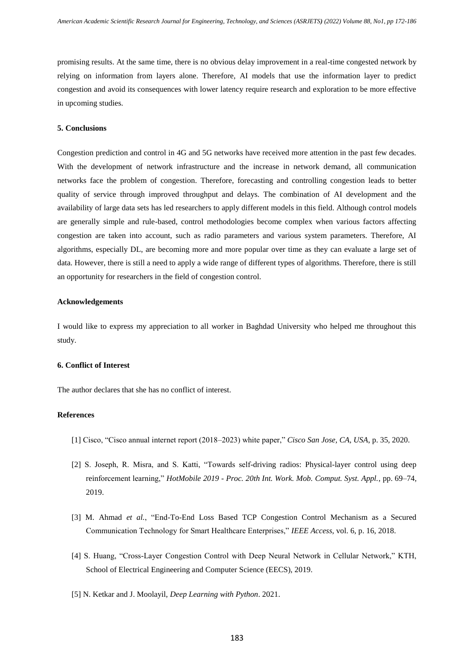promising results. At the same time, there is no obvious delay improvement in a real-time congested network by relying on information from layers alone. Therefore, AI models that use the information layer to predict congestion and avoid its consequences with lower latency require research and exploration to be more effective in upcoming studies.

# **5. Conclusions**

Congestion prediction and control in 4G and 5G networks have received more attention in the past few decades. With the development of network infrastructure and the increase in network demand, all communication networks face the problem of congestion. Therefore, forecasting and controlling congestion leads to better quality of service through improved throughput and delays. The combination of AI development and the availability of large data sets has led researchers to apply different models in this field. Although control models are generally simple and rule-based, control methodologies become complex when various factors affecting congestion are taken into account, such as radio parameters and various system parameters. Therefore, AI algorithms, especially DL, are becoming more and more popular over time as they can evaluate a large set of data. However, there is still a need to apply a wide range of different types of algorithms. Therefore, there is still an opportunity for researchers in the field of congestion control.

## **Acknowledgements**

I would like to express my appreciation to all worker in Baghdad University who helped me throughout this study.

## **6. Conflict of Interest**

The author declares that she has no conflict of interest.

# **References**

- [1] Cisco, "Cisco annual internet report (2018–2023) white paper," *Cisco San Jose, CA, USA*, p. 35, 2020.
- [2] S. Joseph, R. Misra, and S. Katti, "Towards self-driving radios: Physical-layer control using deep reinforcement learning," *HotMobile 2019 - Proc. 20th Int. Work. Mob. Comput. Syst. Appl.*, pp. 69–74, 2019.
- [3] M. Ahmad *et al.*, "End-To-End Loss Based TCP Congestion Control Mechanism as a Secured Communication Technology for Smart Healthcare Enterprises," *IEEE Access*, vol. 6, p. 16, 2018.
- [4] S. Huang, "Cross-Layer Congestion Control with Deep Neural Network in Cellular Network," KTH, School of Electrical Engineering and Computer Science (EECS), 2019.
- [5] N. Ketkar and J. Moolayil, *Deep Learning with Python*. 2021.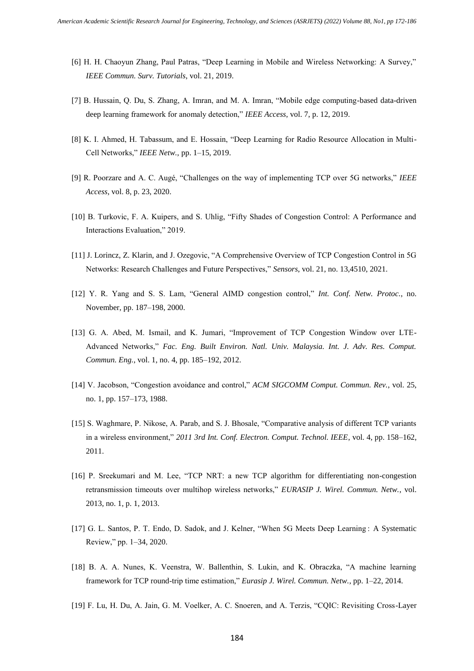- [6] H. H. Chaoyun Zhang, Paul Patras, "Deep Learning in Mobile and Wireless Networking: A Survey," *IEEE Commun. Surv. Tutorials*, vol. 21, 2019.
- [7] B. Hussain, Q. Du, S. Zhang, A. Imran, and M. A. Imran, "Mobile edge computing-based data-driven deep learning framework for anomaly detection," *IEEE Access*, vol. 7, p. 12, 2019.
- [8] K. I. Ahmed, H. Tabassum, and E. Hossain, "Deep Learning for Radio Resource Allocation in Multi-Cell Networks," *IEEE Netw.*, pp. 1–15, 2019.
- [9] R. Poorzare and A. C. Augé, "Challenges on the way of implementing TCP over 5G networks," *IEEE Access*, vol. 8, p. 23, 2020.
- [10] B. Turkovic, F. A. Kuipers, and S. Uhlig, "Fifty Shades of Congestion Control: A Performance and Interactions Evaluation," 2019.
- [11] J. Lorincz, Z. Klarin, and J. Ozegovic, "A Comprehensive Overview of TCP Congestion Control in 5G Networks: Research Challenges and Future Perspectives," *Sensors*, vol. 21, no. 13,4510, 2021.
- [12] Y. R. Yang and S. S. Lam, "General AIMD congestion control," *Int. Conf. Netw. Protoc.*, no. November, pp. 187–198, 2000.
- [13] G. A. Abed, M. Ismail, and K. Jumari, "Improvement of TCP Congestion Window over LTE-Advanced Networks," *Fac. Eng. Built Environ. Natl. Univ. Malaysia. Int. J. Adv. Res. Comput. Commun. Eng.*, vol. 1, no. 4, pp. 185–192, 2012.
- [14] V. Jacobson, "Congestion avoidance and control," *ACM SIGCOMM Comput. Commun. Rev.*, vol. 25, no. 1, pp. 157–173, 1988.
- [15] S. Waghmare, P. Nikose, A. Parab, and S. J. Bhosale, "Comparative analysis of different TCP variants in a wireless environment," *2011 3rd Int. Conf. Electron. Comput. Technol. IEEE*, vol. 4, pp. 158–162, 2011.
- [16] P. Sreekumari and M. Lee, "TCP NRT: a new TCP algorithm for differentiating non-congestion retransmission timeouts over multihop wireless networks," *EURASIP J. Wirel. Commun. Netw.*, vol. 2013, no. 1, p. 1, 2013.
- [17] G. L. Santos, P. T. Endo, D. Sadok, and J. Kelner, "When 5G Meets Deep Learning : A Systematic Review," pp. 1–34, 2020.
- [18] B. A. A. Nunes, K. Veenstra, W. Ballenthin, S. Lukin, and K. Obraczka, "A machine learning framework for TCP round-trip time estimation," *Eurasip J. Wirel. Commun. Netw.*, pp. 1–22, 2014.
- [19] F. Lu, H. Du, A. Jain, G. M. Voelker, A. C. Snoeren, and A. Terzis, "CQIC: Revisiting Cross-Layer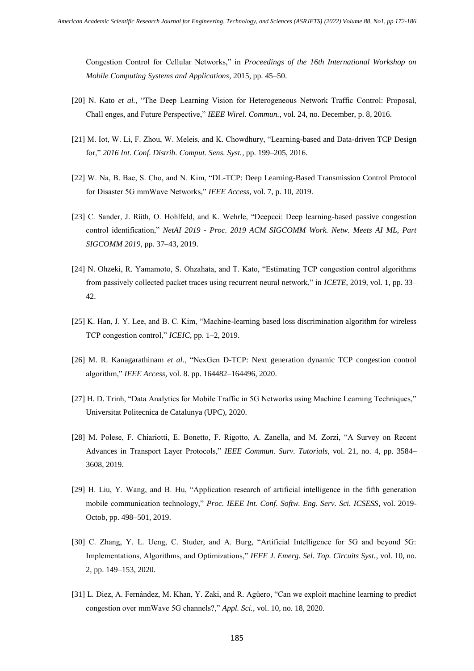Congestion Control for Cellular Networks," in *Proceedings of the 16th International Workshop on Mobile Computing Systems and Applications*, 2015, pp. 45–50.

- [20] N. Kato *et al.*, "The Deep Learning Vision for Heterogeneous Network Traffic Control: Proposal, Chall enges, and Future Perspective," *IEEE Wirel. Commun.*, vol. 24, no. December, p. 8, 2016.
- [21] M. Iot, W. Li, F. Zhou, W. Meleis, and K. Chowdhury, "Learning-based and Data-driven TCP Design for," *2016 Int. Conf. Distrib. Comput. Sens. Syst.*, pp. 199–205, 2016.
- [22] W. Na, B. Bae, S. Cho, and N. Kim, "DL-TCP: Deep Learning-Based Transmission Control Protocol for Disaster 5G mmWave Networks," *IEEE Access*, vol. 7, p. 10, 2019.
- [23] C. Sander, J. Rüth, O. Hohlfeld, and K. Wehrle, "Deepcci: Deep learning-based passive congestion control identification," *NetAI 2019 - Proc. 2019 ACM SIGCOMM Work. Netw. Meets AI ML, Part SIGCOMM 2019*, pp. 37–43, 2019.
- [24] N. Ohzeki, R. Yamamoto, S. Ohzahata, and T. Kato, "Estimating TCP congestion control algorithms from passively collected packet traces using recurrent neural network," in *ICETE*, 2019, vol. 1, pp. 33– 42.
- [25] K. Han, J. Y. Lee, and B. C. Kim, "Machine-learning based loss discrimination algorithm for wireless TCP congestion control," *ICEIC*, pp. 1–2, 2019.
- [26] M. R. Kanagarathinam *et al.*, "NexGen D-TCP: Next generation dynamic TCP congestion control algorithm," *IEEE Access*, vol. 8. pp. 164482–164496, 2020.
- [27] H. D. Trinh, "Data Analytics for Mobile Traffic in 5G Networks using Machine Learning Techniques," Universitat Politecnica de Catalunya (UPC), 2020.
- [28] M. Polese, F. Chiariotti, E. Bonetto, F. Rigotto, A. Zanella, and M. Zorzi, "A Survey on Recent Advances in Transport Layer Protocols," *IEEE Commun. Surv. Tutorials*, vol. 21, no. 4, pp. 3584– 3608, 2019.
- [29] H. Liu, Y. Wang, and B. Hu, "Application research of artificial intelligence in the fifth generation mobile communication technology," *Proc. IEEE Int. Conf. Softw. Eng. Serv. Sci. ICSESS*, vol. 2019- Octob, pp. 498–501, 2019.
- [30] C. Zhang, Y. L. Ueng, C. Studer, and A. Burg, "Artificial Intelligence for 5G and beyond 5G: Implementations, Algorithms, and Optimizations," *IEEE J. Emerg. Sel. Top. Circuits Syst.*, vol. 10, no. 2, pp. 149–153, 2020.
- [31] L. Diez, A. Fernández, M. Khan, Y. Zaki, and R. Agüero, "Can we exploit machine learning to predict congestion over mmWave 5G channels?," *Appl. Sci.*, vol. 10, no. 18, 2020.